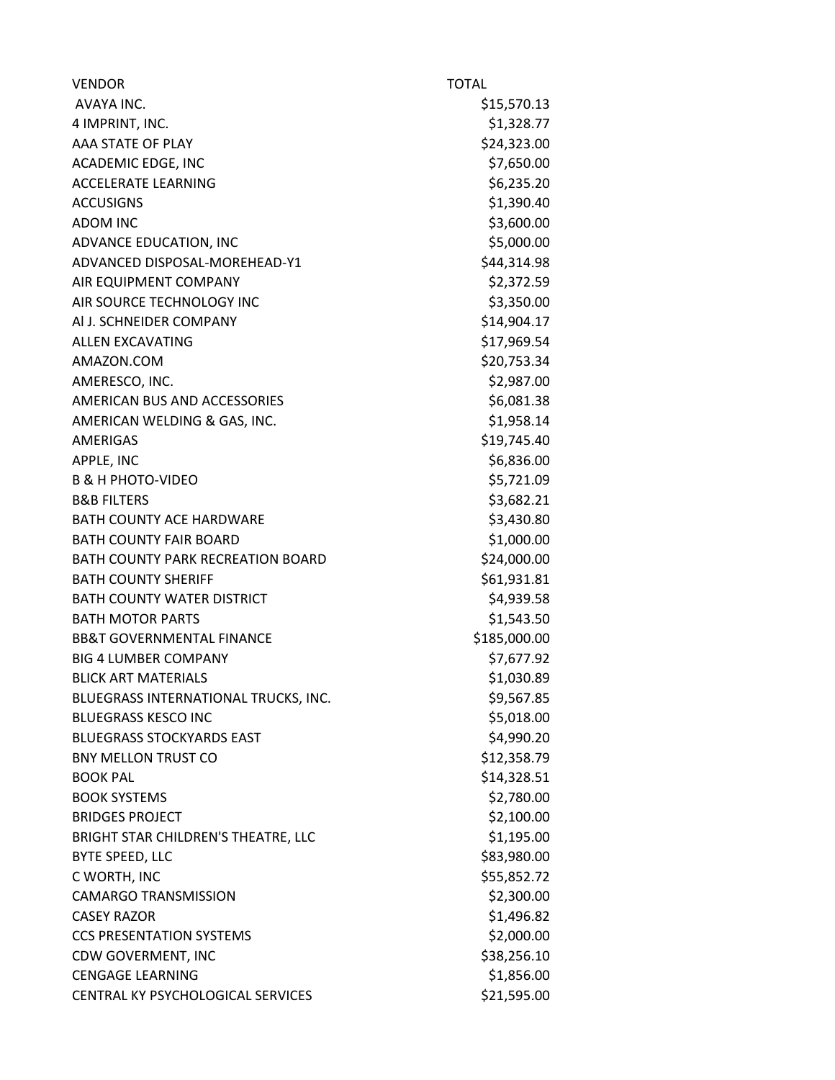| <b>VENDOR</b>                            | TOTAL        |
|------------------------------------------|--------------|
| AVAYA INC.                               | \$15,570.13  |
| 4 IMPRINT, INC.                          | \$1,328.77   |
| AAA STATE OF PLAY                        | \$24,323.00  |
| <b>ACADEMIC EDGE, INC</b>                | \$7,650.00   |
| <b>ACCELERATE LEARNING</b>               | \$6,235.20   |
| <b>ACCUSIGNS</b>                         | \$1,390.40   |
| <b>ADOM INC</b>                          | \$3,600.00   |
| ADVANCE EDUCATION, INC                   | \$5,000.00   |
| ADVANCED DISPOSAL-MOREHEAD-Y1            | \$44,314.98  |
| AIR EQUIPMENT COMPANY                    | \$2,372.59   |
| AIR SOURCE TECHNOLOGY INC                | \$3,350.00   |
| AI J. SCHNEIDER COMPANY                  | \$14,904.17  |
| ALLEN FXCAVATING                         | \$17,969.54  |
| AMAZON.COM                               | \$20,753.34  |
| AMERESCO, INC.                           | \$2,987.00   |
| AMERICAN BUS AND ACCESSORIES             | \$6,081.38   |
| AMERICAN WELDING & GAS, INC.             | \$1,958.14   |
| <b>AMERIGAS</b>                          | \$19,745.40  |
| APPLE, INC                               | \$6,836.00   |
| <b>B &amp; H PHOTO-VIDEO</b>             | \$5,721.09   |
| <b>B&amp;B FILTERS</b>                   | \$3,682.21   |
| <b>BATH COUNTY ACE HARDWARE</b>          | \$3,430.80   |
| <b>BATH COUNTY FAIR BOARD</b>            | \$1,000.00   |
| <b>BATH COUNTY PARK RECREATION BOARD</b> | \$24,000.00  |
| <b>BATH COUNTY SHERIFF</b>               | \$61,931.81  |
| <b>BATH COUNTY WATER DISTRICT</b>        | \$4,939.58   |
| <b>BATH MOTOR PARTS</b>                  | \$1,543.50   |
| <b>BB&amp;T GOVERNMENTAL FINANCE</b>     | \$185,000.00 |
| <b>BIG 4 LUMBER COMPANY</b>              | \$7,677.92   |
| <b>BLICK ART MATERIALS</b>               | \$1,030.89   |
| BLUEGRASS INTERNATIONAL TRUCKS, INC.     | \$9,567.85   |
| <b>BLUEGRASS KESCO INC</b>               | \$5,018.00   |
| <b>BLUEGRASS STOCKYARDS EAST</b>         | \$4,990.20   |
| <b>BNY MELLON TRUST CO</b>               | \$12,358.79  |
| <b>BOOK PAL</b>                          | \$14,328.51  |
| <b>BOOK SYSTEMS</b>                      | \$2,780.00   |
| <b>BRIDGES PROJECT</b>                   | \$2,100.00   |
| BRIGHT STAR CHILDREN'S THEATRE, LLC      | \$1,195.00   |
| <b>BYTE SPEED, LLC</b>                   | \$83,980.00  |
| C WORTH, INC                             | \$55,852.72  |
| <b>CAMARGO TRANSMISSION</b>              | \$2,300.00   |
| <b>CASEY RAZOR</b>                       | \$1,496.82   |
| <b>CCS PRESENTATION SYSTEMS</b>          | \$2,000.00   |
| <b>CDW GOVERMENT, INC</b>                | \$38,256.10  |
| <b>CENGAGE LEARNING</b>                  | \$1,856.00   |
| CENTRAL KY PSYCHOLOGICAL SERVICES        | \$21,595.00  |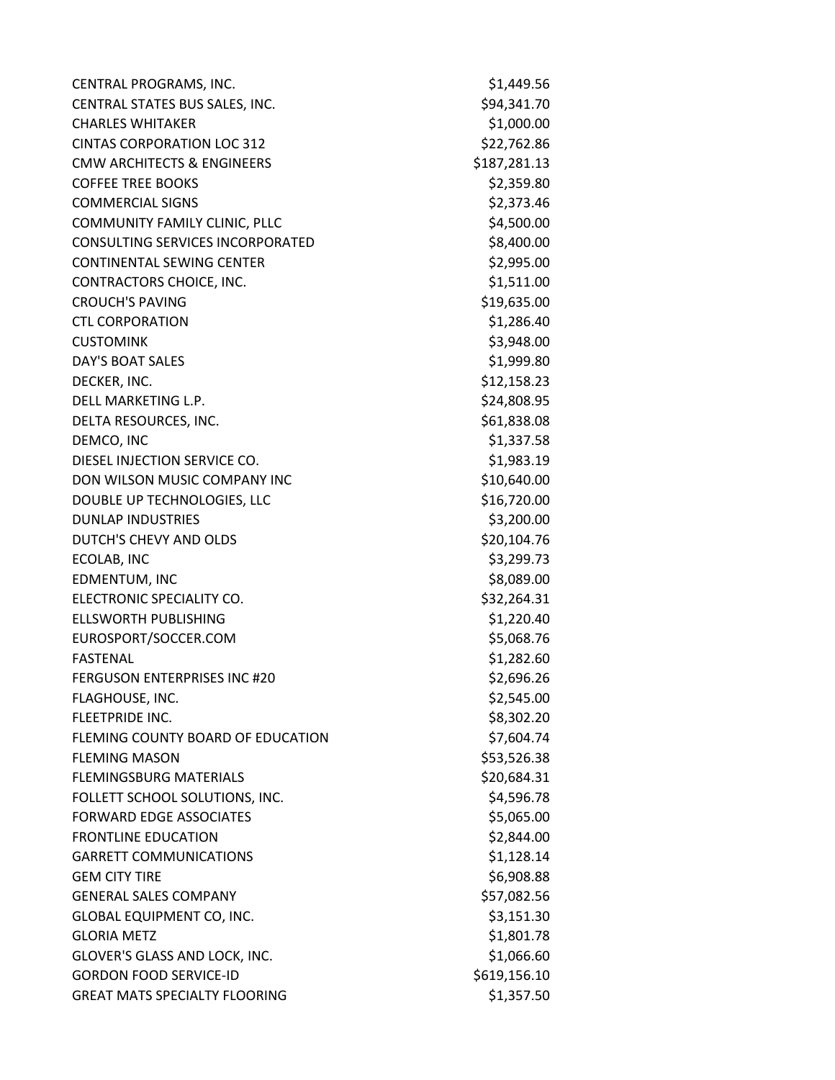| CENTRAL PROGRAMS, INC.                  | \$1,449.56   |
|-----------------------------------------|--------------|
| CENTRAL STATES BUS SALES, INC.          | \$94,341.70  |
| <b>CHARLES WHITAKER</b>                 | \$1,000.00   |
| <b>CINTAS CORPORATION LOC 312</b>       | \$22,762.86  |
| <b>CMW ARCHITECTS &amp; ENGINEERS</b>   | \$187,281.13 |
| <b>COFFEE TREE BOOKS</b>                | \$2,359.80   |
| <b>COMMERCIAL SIGNS</b>                 | \$2,373.46   |
| COMMUNITY FAMILY CLINIC, PLLC           | \$4,500.00   |
| <b>CONSULTING SERVICES INCORPORATED</b> | \$8,400.00   |
| <b>CONTINENTAL SEWING CENTER</b>        | \$2,995.00   |
| CONTRACTORS CHOICE, INC.                | \$1,511.00   |
| <b>CROUCH'S PAVING</b>                  | \$19,635.00  |
| <b>CTL CORPORATION</b>                  | \$1,286.40   |
| <b>CUSTOMINK</b>                        | \$3,948.00   |
| <b>DAY'S BOAT SALES</b>                 | \$1,999.80   |
| DECKER, INC.                            | \$12,158.23  |
| DELL MARKETING L.P.                     | \$24,808.95  |
| DELTA RESOURCES, INC.                   | \$61,838.08  |
| DEMCO, INC                              | \$1,337.58   |
| DIESEL INJECTION SERVICE CO.            | \$1,983.19   |
| DON WILSON MUSIC COMPANY INC            | \$10,640.00  |
| DOUBLE UP TECHNOLOGIES, LLC             | \$16,720.00  |
| <b>DUNLAP INDUSTRIES</b>                | \$3,200.00   |
| DUTCH'S CHEVY AND OLDS                  | \$20,104.76  |
| ECOLAB, INC                             | \$3,299.73   |
| <b>EDMENTUM, INC</b>                    | \$8,089.00   |
| ELECTRONIC SPECIALITY CO.               | \$32,264.31  |
| <b>ELLSWORTH PUBLISHING</b>             | \$1,220.40   |
| EUROSPORT/SOCCER.COM                    | \$5,068.76   |
| <b>FASTENAL</b>                         | \$1,282.60   |
| <b>FERGUSON ENTERPRISES INC #20</b>     | \$2,696.26   |
| FLAGHOUSE, INC.                         | \$2,545.00   |
| <b>FLEETPRIDE INC.</b>                  | \$8,302.20   |
| FLEMING COUNTY BOARD OF EDUCATION       | \$7,604.74   |
| <b>FLEMING MASON</b>                    | \$53,526.38  |
| <b>FLEMINGSBURG MATERIALS</b>           | \$20,684.31  |
| FOLLETT SCHOOL SOLUTIONS, INC.          | \$4,596.78   |
| <b>FORWARD EDGE ASSOCIATES</b>          | \$5,065.00   |
| <b>FRONTLINE EDUCATION</b>              | \$2,844.00   |
| <b>GARRETT COMMUNICATIONS</b>           | \$1,128.14   |
| <b>GEM CITY TIRE</b>                    | \$6,908.88   |
| <b>GENERAL SALES COMPANY</b>            | \$57,082.56  |
| GLOBAL EQUIPMENT CO, INC.               | \$3,151.30   |
| <b>GLORIA METZ</b>                      | \$1,801.78   |
| GLOVER'S GLASS AND LOCK, INC.           | \$1,066.60   |
| <b>GORDON FOOD SERVICE-ID</b>           | \$619,156.10 |
| <b>GREAT MATS SPECIALTY FLOORING</b>    | \$1,357.50   |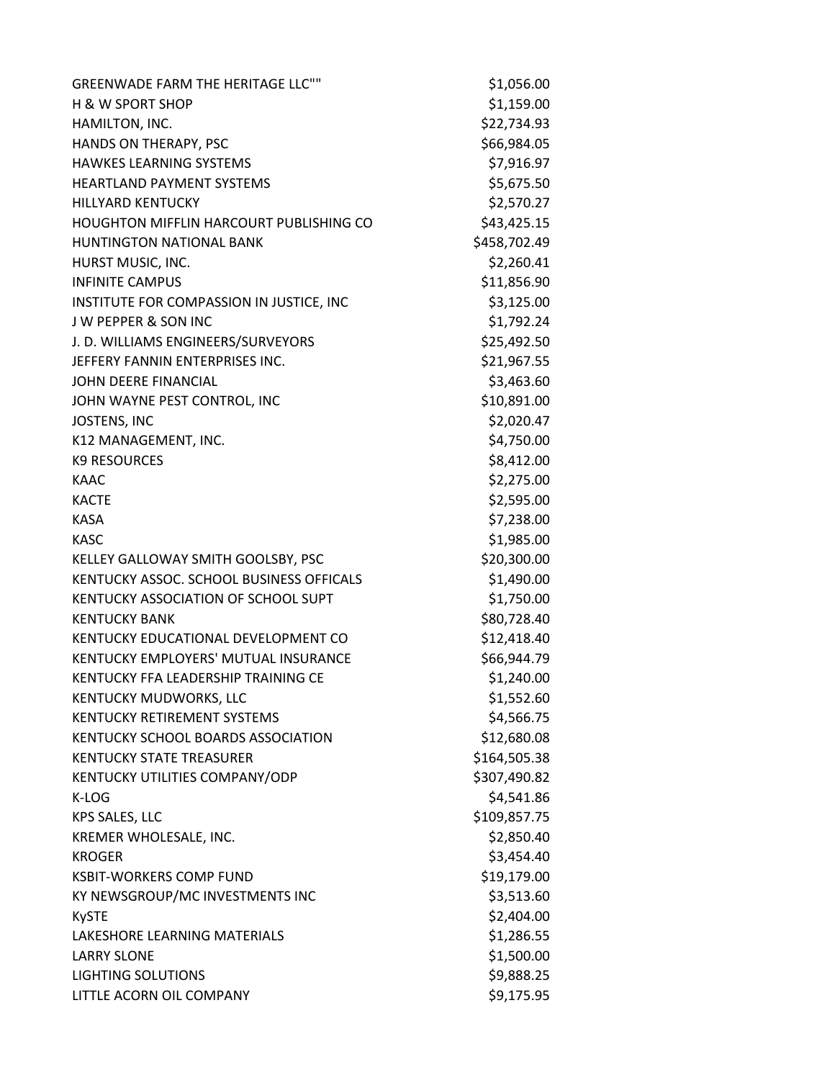| <b>GREENWADE FARM THE HERITAGE LLC""</b>       | \$1,056.00   |
|------------------------------------------------|--------------|
| <b>H &amp; W SPORT SHOP</b>                    | \$1,159.00   |
| HAMILTON, INC.                                 | \$22,734.93  |
| HANDS ON THERAPY, PSC                          | \$66,984.05  |
| <b>HAWKES LEARNING SYSTEMS</b>                 | \$7,916.97   |
| <b>HEARTLAND PAYMENT SYSTEMS</b>               | \$5,675.50   |
| <b>HILLYARD KENTUCKY</b>                       | \$2,570.27   |
| <b>HOUGHTON MIFFLIN HARCOURT PUBLISHING CO</b> | \$43,425.15  |
| <b>HUNTINGTON NATIONAL BANK</b>                | \$458,702.49 |
| HURST MUSIC, INC.                              | \$2,260.41   |
| <b>INFINITE CAMPUS</b>                         | \$11,856.90  |
| INSTITUTE FOR COMPASSION IN JUSTICE, INC       | \$3,125.00   |
| <b>JW PEPPER &amp; SON INC</b>                 | \$1,792.24   |
| J. D. WILLIAMS ENGINEERS/SURVEYORS             | \$25,492.50  |
| JEFFERY FANNIN ENTERPRISES INC.                | \$21,967.55  |
| JOHN DEFRE FINANCIAL                           | \$3,463.60   |
| JOHN WAYNE PEST CONTROL, INC                   | \$10,891.00  |
| <b>JOSTENS, INC</b>                            | \$2,020.47   |
| K12 MANAGEMENT, INC.                           | \$4,750.00   |
| <b>K9 RESOURCES</b>                            | \$8,412.00   |
| <b>KAAC</b>                                    | \$2,275.00   |
| <b>KACTE</b>                                   | \$2,595.00   |
| <b>KASA</b>                                    | \$7,238.00   |
| <b>KASC</b>                                    | \$1,985.00   |
| KELLEY GALLOWAY SMITH GOOLSBY, PSC             | \$20,300.00  |
| KENTUCKY ASSOC. SCHOOL BUSINESS OFFICALS       | \$1,490.00   |
| KENTUCKY ASSOCIATION OF SCHOOL SUPT            | \$1,750.00   |
| <b>KENTUCKY BANK</b>                           | \$80,728.40  |
| KENTUCKY EDUCATIONAL DEVELOPMENT CO            | \$12,418.40  |
| KENTUCKY EMPLOYERS' MUTUAL INSURANCE           | \$66,944.79  |
| KENTUCKY FFA LEADERSHIP TRAINING CE            | \$1,240.00   |
| <b>KENTUCKY MUDWORKS, LLC</b>                  | \$1,552.60   |
| <b>KENTUCKY RETIREMENT SYSTEMS</b>             | \$4,566.75   |
| KENTUCKY SCHOOL BOARDS ASSOCIATION             | \$12,680.08  |
| <b>KENTUCKY STATE TREASURER</b>                | \$164,505.38 |
| KENTUCKY UTILITIES COMPANY/ODP                 | \$307,490.82 |
| K-LOG                                          | \$4,541.86   |
| KPS SALES, LLC                                 | \$109,857.75 |
| KREMER WHOLESALE, INC.                         | \$2,850.40   |
| <b>KROGER</b>                                  | \$3,454.40   |
| <b>KSBIT-WORKERS COMP FUND</b>                 | \$19,179.00  |
| KY NEWSGROUP/MC INVESTMENTS INC                | \$3,513.60   |
| <b>KySTE</b>                                   | \$2,404.00   |
| LAKESHORE LEARNING MATERIALS                   | \$1,286.55   |
| <b>LARRY SLONE</b>                             | \$1,500.00   |
| <b>LIGHTING SOLUTIONS</b>                      | \$9,888.25   |
| LITTLE ACORN OIL COMPANY                       | \$9,175.95   |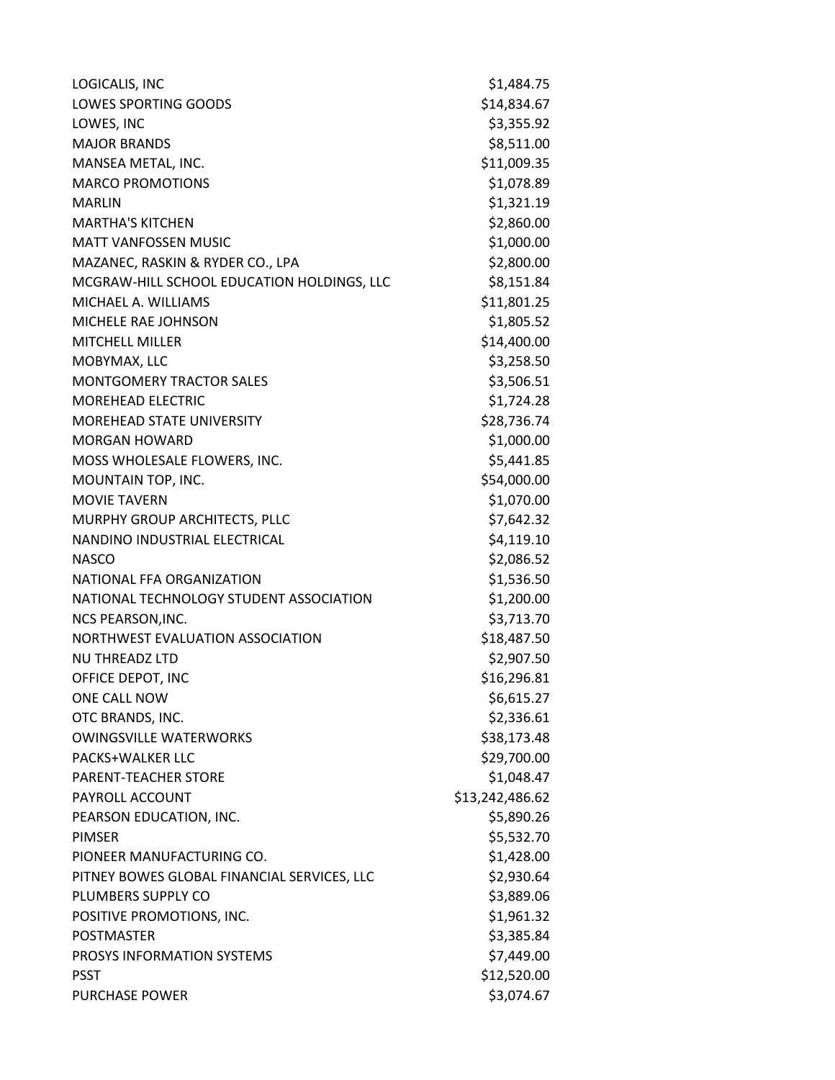| LOGICALIS, INC                              | \$1,484.75      |
|---------------------------------------------|-----------------|
| <b>LOWES SPORTING GOODS</b>                 | \$14,834.67     |
| LOWES, INC                                  | \$3,355.92      |
| <b>MAJOR BRANDS</b>                         | \$8,511.00      |
| MANSEA METAL, INC.                          | \$11,009.35     |
| <b>MARCO PROMOTIONS</b>                     | \$1,078.89      |
| <b>MARLIN</b>                               | \$1,321.19      |
| <b>MARTHA'S KITCHEN</b>                     | \$2,860.00      |
| <b>MATT VANFOSSEN MUSIC</b>                 | \$1,000.00      |
| MAZANEC, RASKIN & RYDER CO., LPA            | \$2,800.00      |
| MCGRAW-HILL SCHOOL EDUCATION HOLDINGS, LLC  | \$8,151.84      |
| MICHAEL A. WILLIAMS                         | \$11,801.25     |
| MICHELE RAE JOHNSON                         | \$1,805.52      |
| <b>MITCHELL MILLER</b>                      | \$14,400.00     |
| MOBYMAX, LLC                                | \$3,258.50      |
| <b>MONTGOMERY TRACTOR SALES</b>             | \$3,506.51      |
| <b>MOREHEAD ELECTRIC</b>                    | \$1,724.28      |
| MOREHEAD STATE UNIVERSITY                   | \$28,736.74     |
| <b>MORGAN HOWARD</b>                        | \$1,000.00      |
| MOSS WHOLESALE FLOWERS, INC.                | \$5,441.85      |
| MOUNTAIN TOP, INC.                          | \$54,000.00     |
| <b>MOVIE TAVERN</b>                         | \$1,070.00      |
| MURPHY GROUP ARCHITECTS, PLLC               | \$7,642.32      |
| NANDINO INDUSTRIAL ELECTRICAL               | \$4,119.10      |
| <b>NASCO</b>                                | \$2,086.52      |
| NATIONAL FFA ORGANIZATION                   | \$1,536.50      |
| NATIONAL TECHNOLOGY STUDENT ASSOCIATION     | \$1,200.00      |
| NCS PEARSON, INC.                           | \$3,713.70      |
| NORTHWEST EVALUATION ASSOCIATION            | \$18,487.50     |
| <b>NU THREADZ LTD</b>                       | \$2,907.50      |
| OFFICE DEPOT, INC                           | \$16,296.81     |
| ONE CALL NOW                                | \$6,615.27      |
| OTC BRANDS, INC.                            | \$2,336.61      |
| <b>OWINGSVILLE WATERWORKS</b>               | \$38,173.48     |
| PACKS+WALKER LLC                            | \$29,700.00     |
| PARENT-TEACHER STORE                        | \$1,048.47      |
| PAYROLL ACCOUNT                             | \$13,242,486.62 |
| PEARSON EDUCATION, INC.                     | \$5,890.26      |
| <b>PIMSER</b>                               | \$5,532.70      |
| PIONEER MANUFACTURING CO.                   | \$1,428.00      |
| PITNEY BOWES GLOBAL FINANCIAL SERVICES, LLC | \$2,930.64      |
| PLUMBERS SUPPLY CO                          | \$3,889.06      |
| POSITIVE PROMOTIONS, INC.                   | \$1,961.32      |
| <b>POSTMASTER</b>                           | \$3,385.84      |
| PROSYS INFORMATION SYSTEMS                  | \$7,449.00      |
| <b>PSST</b>                                 | \$12,520.00     |
| <b>PURCHASE POWER</b>                       | \$3,074.67      |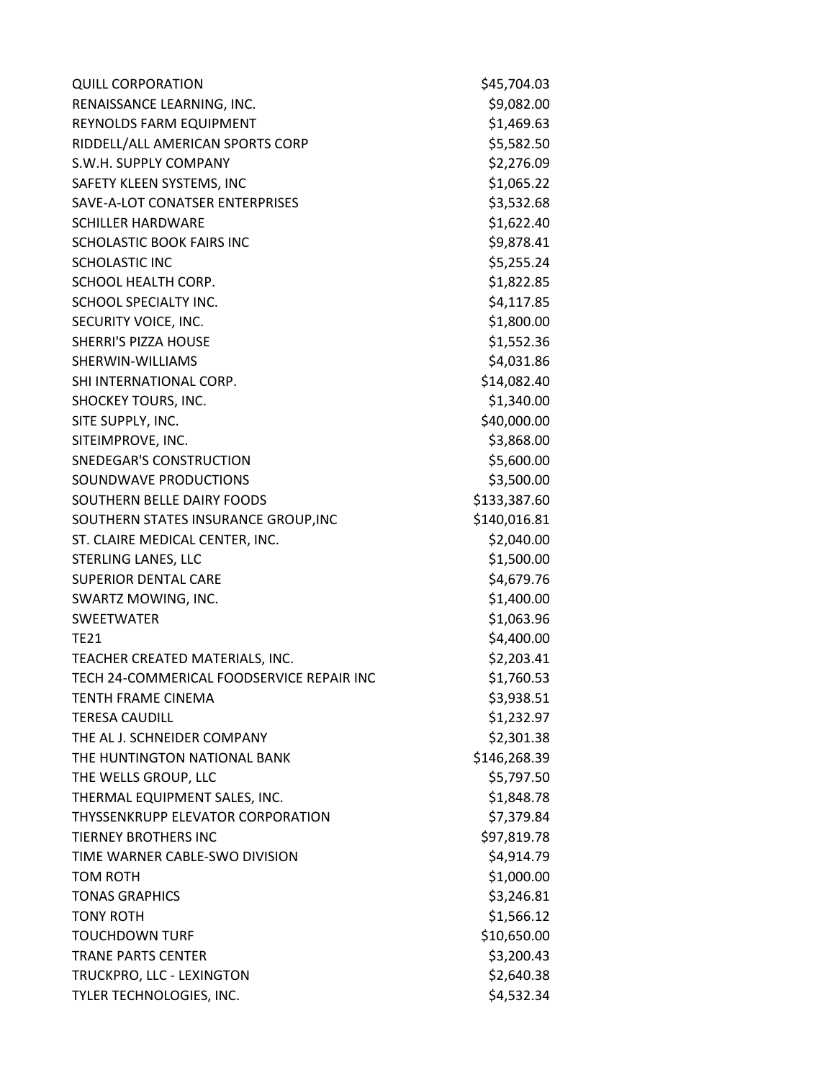| <b>QUILL CORPORATION</b>                  | \$45,704.03  |
|-------------------------------------------|--------------|
| RENAISSANCE LEARNING, INC.                | \$9,082.00   |
| REYNOLDS FARM EQUIPMENT                   | \$1,469.63   |
| RIDDELL/ALL AMERICAN SPORTS CORP          | \$5,582.50   |
| S.W.H. SUPPLY COMPANY                     | \$2,276.09   |
| SAFETY KLEEN SYSTEMS, INC                 | \$1,065.22   |
| SAVE-A-LOT CONATSER ENTERPRISES           | \$3,532.68   |
| <b>SCHILLER HARDWARE</b>                  | \$1,622.40   |
| SCHOLASTIC BOOK FAIRS INC                 | \$9,878.41   |
| <b>SCHOLASTIC INC</b>                     | \$5,255.24   |
| SCHOOL HEALTH CORP.                       | \$1,822.85   |
| SCHOOL SPECIALTY INC.                     | \$4,117.85   |
| SECURITY VOICE, INC.                      | \$1,800.00   |
| <b>SHERRI'S PIZZA HOUSE</b>               | \$1,552.36   |
| SHERWIN-WILLIAMS                          | \$4,031.86   |
| SHI INTERNATIONAL CORP.                   | \$14,082.40  |
| <b>SHOCKEY TOURS, INC.</b>                | \$1,340.00   |
| SITE SUPPLY, INC.                         | \$40,000.00  |
| SITEIMPROVE, INC.                         | \$3,868.00   |
| <b>SNEDEGAR'S CONSTRUCTION</b>            | \$5,600.00   |
| SOUNDWAVE PRODUCTIONS                     | \$3,500.00   |
| SOUTHERN BELLE DAIRY FOODS                | \$133,387.60 |
| SOUTHERN STATES INSURANCE GROUP, INC      | \$140,016.81 |
| ST. CLAIRE MEDICAL CENTER, INC.           | \$2,040.00   |
| <b>STERLING LANES, LLC</b>                | \$1,500.00   |
| <b>SUPERIOR DENTAL CARE</b>               | \$4,679.76   |
| SWARTZ MOWING, INC.                       | \$1,400.00   |
| <b>SWEETWATER</b>                         | \$1,063.96   |
| <b>TE21</b>                               | \$4,400.00   |
| TEACHER CREATED MATERIALS, INC.           | \$2,203.41   |
| TECH 24-COMMERICAL FOODSERVICE REPAIR INC | \$1,760.53   |
| TENTH FRAME CINEMA                        | \$3,938.51   |
| <b>TERESA CAUDILL</b>                     | \$1,232.97   |
| THE AL J. SCHNEIDER COMPANY               | \$2,301.38   |
| THE HUNTINGTON NATIONAL BANK              | \$146,268.39 |
| THE WELLS GROUP, LLC                      | \$5,797.50   |
| THERMAL EQUIPMENT SALES, INC.             | \$1,848.78   |
| <b>THYSSENKRUPP ELEVATOR CORPORATION</b>  | \$7,379.84   |
| <b>TIERNEY BROTHERS INC</b>               | \$97,819.78  |
| TIME WARNER CABLE-SWO DIVISION            | \$4,914.79   |
| TOM ROTH                                  | \$1,000.00   |
| <b>TONAS GRAPHICS</b>                     | \$3,246.81   |
| <b>TONY ROTH</b>                          | \$1,566.12   |
| <b>TOUCHDOWN TURF</b>                     | \$10,650.00  |
| <b>TRANE PARTS CENTER</b>                 | \$3,200.43   |
| TRUCKPRO, LLC - LEXINGTON                 | \$2,640.38   |
| TYLER TECHNOLOGIES, INC.                  | \$4,532.34   |